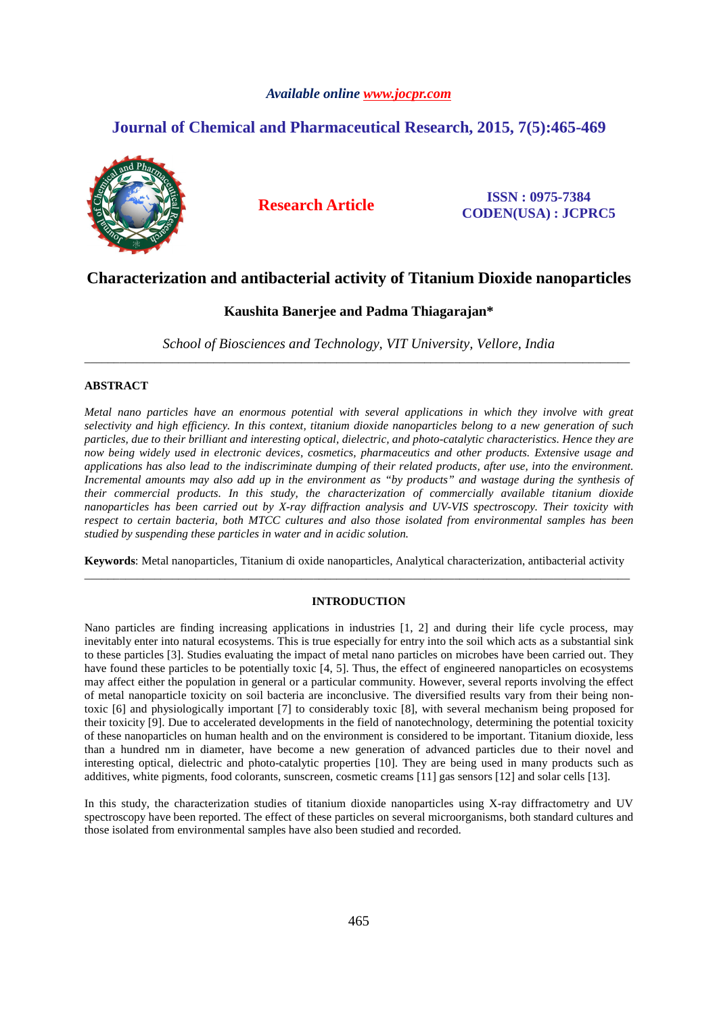# *Available online www.jocpr.com*

# **Journal of Chemical and Pharmaceutical Research, 2015, 7(5):465-469**



**Research Article ISSN : 0975-7384 CODEN(USA) : JCPRC5**

# **Characterization and antibacterial activity of Titanium Dioxide nanoparticles**

# **Kaushita Banerjee and Padma Thiagarajan\***

*School of Biosciences and Technology, VIT University, Vellore, India*  \_\_\_\_\_\_\_\_\_\_\_\_\_\_\_\_\_\_\_\_\_\_\_\_\_\_\_\_\_\_\_\_\_\_\_\_\_\_\_\_\_\_\_\_\_\_\_\_\_\_\_\_\_\_\_\_\_\_\_\_\_\_\_\_\_\_\_\_\_\_\_\_\_\_\_\_\_\_\_\_\_\_\_\_\_\_\_\_\_\_\_\_\_

# **ABSTRACT**

*Metal nano particles have an enormous potential with several applications in which they involve with great selectivity and high efficiency. In this context, titanium dioxide nanoparticles belong to a new generation of such particles, due to their brilliant and interesting optical, dielectric, and photo-catalytic characteristics. Hence they are now being widely used in electronic devices, cosmetics, pharmaceutics and other products. Extensive usage and applications has also lead to the indiscriminate dumping of their related products, after use, into the environment. Incremental amounts may also add up in the environment as "by products" and wastage during the synthesis of their commercial products. In this study, the characterization of commercially available titanium dioxide nanoparticles has been carried out by X-ray diffraction analysis and UV-VIS spectroscopy. Their toxicity with respect to certain bacteria, both MTCC cultures and also those isolated from environmental samples has been studied by suspending these particles in water and in acidic solution.* 

**Keywords**: Metal nanoparticles, Titanium di oxide nanoparticles, Analytical characterization, antibacterial activity \_\_\_\_\_\_\_\_\_\_\_\_\_\_\_\_\_\_\_\_\_\_\_\_\_\_\_\_\_\_\_\_\_\_\_\_\_\_\_\_\_\_\_\_\_\_\_\_\_\_\_\_\_\_\_\_\_\_\_\_\_\_\_\_\_\_\_\_\_\_\_\_\_\_\_\_\_\_\_\_\_\_\_\_\_\_\_\_\_\_\_\_\_

# **INTRODUCTION**

Nano particles are finding increasing applications in industries [1, 2] and during their life cycle process, may inevitably enter into natural ecosystems. This is true especially for entry into the soil which acts as a substantial sink to these particles [3]. Studies evaluating the impact of metal nano particles on microbes have been carried out. They have found these particles to be potentially toxic [4, 5]. Thus, the effect of engineered nanoparticles on ecosystems may affect either the population in general or a particular community. However, several reports involving the effect of metal nanoparticle toxicity on soil bacteria are inconclusive. The diversified results vary from their being nontoxic [6] and physiologically important [7] to considerably toxic [8], with several mechanism being proposed for their toxicity [9]. Due to accelerated developments in the field of nanotechnology, determining the potential toxicity of these nanoparticles on human health and on the environment is considered to be important. Titanium dioxide, less than a hundred nm in diameter, have become a new generation of advanced particles due to their novel and interesting optical, dielectric and photo-catalytic properties [10]. They are being used in many products such as additives, white pigments, food colorants, sunscreen, cosmetic creams [11] gas sensors [12] and solar cells [13].

In this study, the characterization studies of titanium dioxide nanoparticles using X-ray diffractometry and UV spectroscopy have been reported. The effect of these particles on several microorganisms, both standard cultures and those isolated from environmental samples have also been studied and recorded.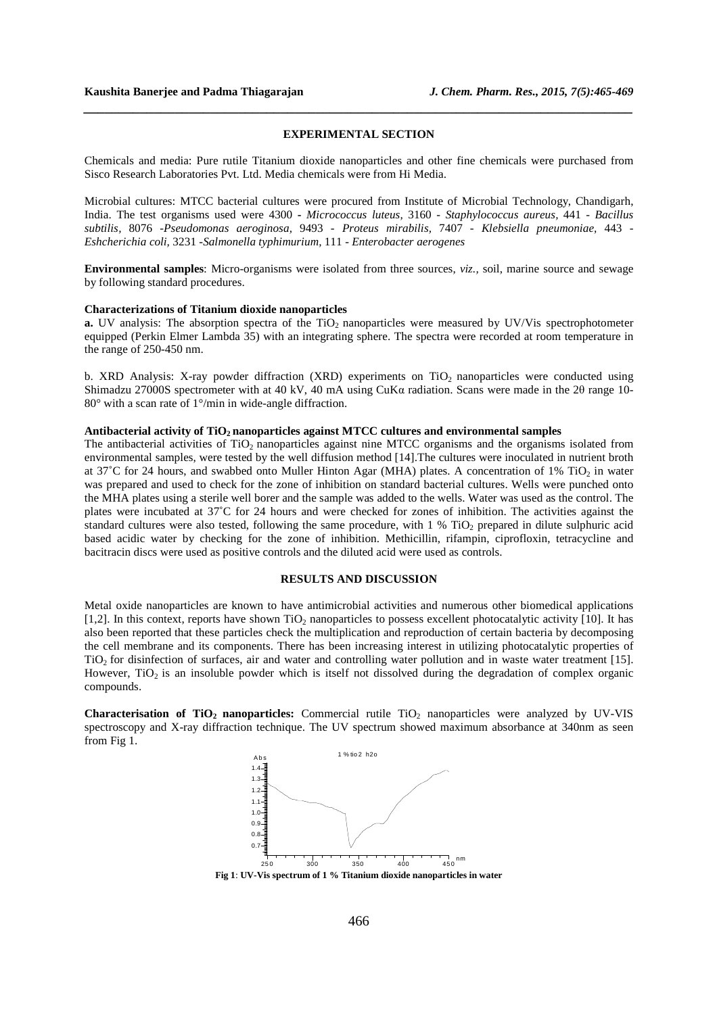#### **EXPERIMENTAL SECTION**

*\_\_\_\_\_\_\_\_\_\_\_\_\_\_\_\_\_\_\_\_\_\_\_\_\_\_\_\_\_\_\_\_\_\_\_\_\_\_\_\_\_\_\_\_\_\_\_\_\_\_\_\_\_\_\_\_\_\_\_\_\_\_\_\_\_\_\_\_\_\_\_\_\_\_\_\_\_\_*

Chemicals and media: Pure rutile Titanium dioxide nanoparticles and other fine chemicals were purchased from Sisco Research Laboratories Pvt. Ltd. Media chemicals were from Hi Media.

Microbial cultures: MTCC bacterial cultures were procured from Institute of Microbial Technology, Chandigarh, India. The test organisms used were 4300 **-** *Micrococcus luteus,* 3160 *- Staphylococcus aureus,* 441 *- Bacillus subtilis,* 8076 *-Pseudomonas aeroginosa,* 9493 *- Proteus mirabilis,* 7407 *- Klebsiella pneumoniae,* 443 *- Eshcherichia coli,* 3231 *-Salmonella typhimurium,* 111 *- Enterobacter aerogenes* 

**Environmental samples**: Micro-organisms were isolated from three sources, *viz.,* soil, marine source and sewage by following standard procedures.

#### **Characterizations of Titanium dioxide nanoparticles**

**a.** UV analysis: The absorption spectra of the TiO<sub>2</sub> nanoparticles were measured by UV/Vis spectrophotometer equipped (Perkin Elmer Lambda 35) with an integrating sphere. The spectra were recorded at room temperature in the range of 250-450 nm.

b. XRD Analysis: X-ray powder diffraction (XRD) experiments on  $TiO<sub>2</sub>$  nanoparticles were conducted using Shimadzu 27000S spectrometer with at 40 kV, 40 mA using CuKα radiation. Scans were made in the 2θ range 10- 80° with a scan rate of 1°/min in wide-angle diffraction.

### **Antibacterial activity of TiO2 nanoparticles against MTCC cultures and environmental samples**

The antibacterial activities of  $TiO<sub>2</sub>$  nanoparticles against nine MTCC organisms and the organisms isolated from environmental samples, were tested by the well diffusion method [14].The cultures were inoculated in nutrient broth at 37°C for 24 hours, and swabbed onto Muller Hinton Agar (MHA) plates. A concentration of 1% TiO<sub>2</sub> in water was prepared and used to check for the zone of inhibition on standard bacterial cultures. Wells were punched onto the MHA plates using a sterile well borer and the sample was added to the wells. Water was used as the control. The plates were incubated at 37˚C for 24 hours and were checked for zones of inhibition. The activities against the standard cultures were also tested, following the same procedure, with 1 % TiO<sub>2</sub> prepared in dilute sulphuric acid based acidic water by checking for the zone of inhibition. Methicillin, rifampin, ciprofloxin, tetracycline and bacitracin discs were used as positive controls and the diluted acid were used as controls.

### **RESULTS AND DISCUSSION**

Metal oxide nanoparticles are known to have antimicrobial activities and numerous other biomedical applications [1,2]. In this context, reports have shown  $TiO<sub>2</sub>$  nanoparticles to possess excellent photocatalytic activity [10]. It has also been reported that these particles check the multiplication and reproduction of certain bacteria by decomposing the cell membrane and its components. There has been increasing interest in utilizing photocatalytic properties of TiO2 for disinfection of surfaces, air and water and controlling water pollution and in waste water treatment [15]. However,  $TiO<sub>2</sub>$  is an insoluble powder which is itself not dissolved during the degradation of complex organic compounds.

**Characterisation of TiO<sub>2</sub> nanoparticles:** Commercial rutile TiO<sub>2</sub> nanoparticles were analyzed by UV-VIS spectroscopy and X-ray diffraction technique. The UV spectrum showed maximum absorbance at 340nm as seen from Fig 1.



**Fig 1**: **UV-Vis spectrum of 1 % Titanium dioxide nanoparticles in water**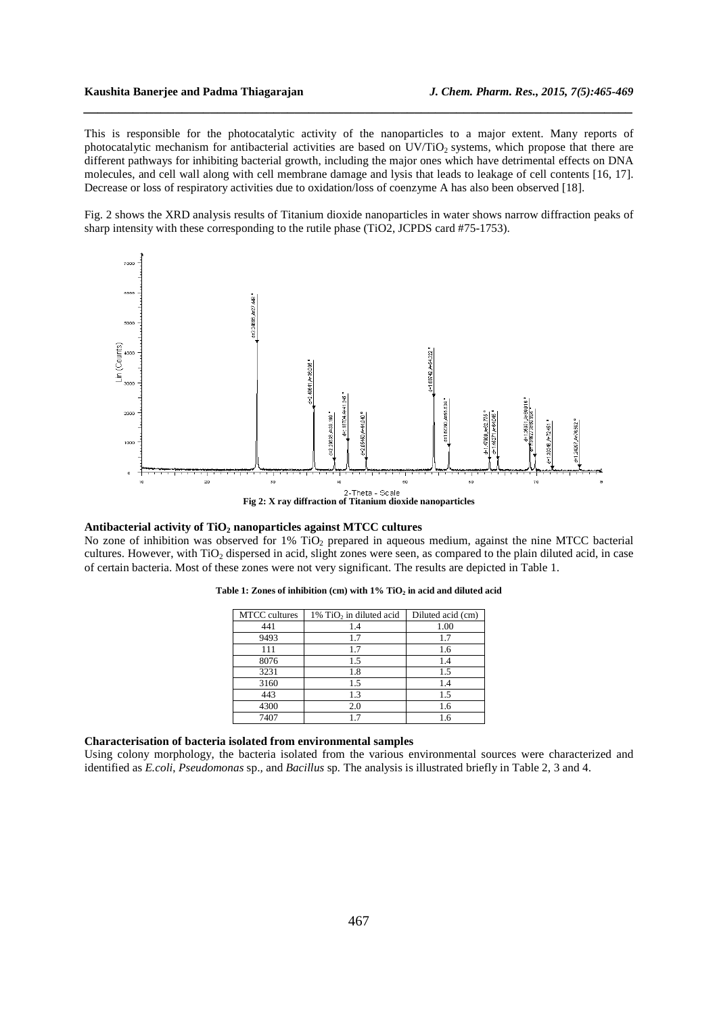This is responsible for the photocatalytic activity of the nanoparticles to a major extent. Many reports of photocatalytic mechanism for antibacterial activities are based on UV/TiO2 systems, which propose that there are different pathways for inhibiting bacterial growth, including the major ones which have detrimental effects on DNA molecules, and cell wall along with cell membrane damage and lysis that leads to leakage of cell contents [16, 17]. Decrease or loss of respiratory activities due to oxidation/loss of coenzyme A has also been observed [18].

*\_\_\_\_\_\_\_\_\_\_\_\_\_\_\_\_\_\_\_\_\_\_\_\_\_\_\_\_\_\_\_\_\_\_\_\_\_\_\_\_\_\_\_\_\_\_\_\_\_\_\_\_\_\_\_\_\_\_\_\_\_\_\_\_\_\_\_\_\_\_\_\_\_\_\_\_\_\_*

Fig. 2 shows the XRD analysis results of Titanium dioxide nanoparticles in water shows narrow diffraction peaks of sharp intensity with these corresponding to the rutile phase (TiO2, JCPDS card #75-1753).



#### **Antibacterial activity of TiO2 nanoparticles against MTCC cultures**

No zone of inhibition was observed for 1% TiO<sub>2</sub> prepared in aqueous medium, against the nine MTCC bacterial cultures. However, with TiO<sub>2</sub> dispersed in acid, slight zones were seen, as compared to the plain diluted acid, in case of certain bacteria. Most of these zones were not very significant. The results are depicted in Table 1.

| <b>MTCC</b> cultures | $1\%$ TiO <sub>2</sub> in diluted acid | Diluted acid (cm) |
|----------------------|----------------------------------------|-------------------|
| 441                  | 1.4                                    | 1.00              |
| 9493                 | 1.7                                    | 1.7               |
| 111                  | 1.7                                    | 1.6               |
| 8076                 | 1.5                                    | 1.4               |
| 3231                 | 1.8                                    | 1.5               |
| 3160                 | 1.5                                    | 1.4               |
| 443                  | 1.3                                    | 1.5               |
| 4300                 | 2.0                                    | 1.6               |
| 7407                 | 1.7                                    | 1.6               |

**Table 1: Zones of inhibition (cm) with 1% TiO2 in acid and diluted acid**

### **Characterisation of bacteria isolated from environmental samples**

Using colony morphology, the bacteria isolated from the various environmental sources were characterized and identified as *E.coli*, *Pseudomonas* sp.*,* and *Bacillus* sp*.* The analysis is illustrated briefly in Table 2, 3 and 4.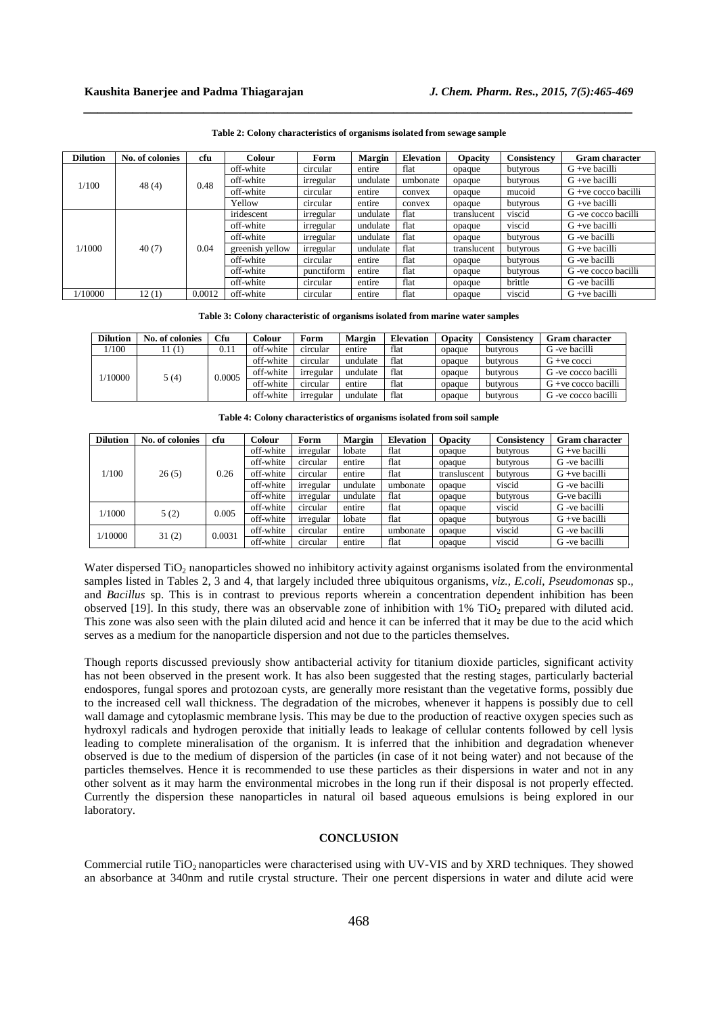| <b>Dilution</b> | No. of colonies | cfu    | Colour          | Form       | <b>Margin</b> | <b>Elevation</b> | <b>Opacity</b> | Consistency | <b>Gram character</b>  |
|-----------------|-----------------|--------|-----------------|------------|---------------|------------------|----------------|-------------|------------------------|
| 1/100           | 48(4)           | 0.48   | off-white       | circular   | entire        | flat             | opaque         | butyrous    | $G +ve$ bacilli        |
|                 |                 |        | off-white       | irregular  | undulate      | umbonate         | opaque         | butyrous    | $G + ve$ bacilli       |
|                 |                 |        | off-white       | circular   | entire        | convex           | opaque         | mucoid      | $G + ve$ cocco bacilli |
|                 |                 |        | Yellow          | circular   | entire        | convex           | opaque         | butyrous    | $G + ve$ bacilli       |
| 1/1000          | 40(7)           | 0.04   | iridescent      | irregular  | undulate      | flat             | translucent    | viscid      | G -ve cocco bacilli    |
|                 |                 |        | off-white       | irregular  | undulate      | flat             | opaque         | viscid      | $G +ve$ bacilli        |
|                 |                 |        | off-white       | irregular  | undulate      | flat             | opaque         | butyrous    | G -ve bacilli          |
|                 |                 |        | greenish yellow | irregular  | undulate      | flat             | translucent    | butyrous    | $G +ve$ bacilli        |
|                 |                 |        | off-white       | circular   | entire        | flat             | opaque         | butyrous    | G -ve bacilli          |
|                 |                 |        | off-white       | punctiform | entire        | flat             | opaque         | butyrous    | G -ve cocco bacilli    |
|                 |                 |        | off-white       | circular   | entire        | flat             | opaque         | brittle     | G -ve bacilli          |
| 1/10000         | 12(1)           | 0.0012 | off-white       | circular   | entire        | flat             | opaque         | viscid      | $G +ve$ bacilli        |

**Table 2: Colony characteristics of organisms isolated from sewage sample** 

*\_\_\_\_\_\_\_\_\_\_\_\_\_\_\_\_\_\_\_\_\_\_\_\_\_\_\_\_\_\_\_\_\_\_\_\_\_\_\_\_\_\_\_\_\_\_\_\_\_\_\_\_\_\_\_\_\_\_\_\_\_\_\_\_\_\_\_\_\_\_\_\_\_\_\_\_\_\_*

**Table 3: Colony characteristic of organisms isolated from marine water samples** 

| <b>Dilution</b> | No. of colonies | <b>Cfu</b> | Colour    | Form      | Margin   | <b>Elevation</b> | <b>Opacity</b> | Consistencv | <b>Gram character</b>  |
|-----------------|-----------------|------------|-----------|-----------|----------|------------------|----------------|-------------|------------------------|
| 1/100           | (1)             | 0.11       | off-white | circular  | entire   | flat             | opaque         | butyrous    | G -ve bacilli          |
| 1/10000         | 5(4)            | 0.0005     | off-white | circular  | undulate | flat             | opaque         | butyrous    | $G + ve cocci$         |
|                 |                 |            | off-white | irregular | undulate | flat             | opaque         | butyrous    | G -ve cocco bacilli    |
|                 |                 |            | off-white | circular  | entire   | flat             | opaque         | butyrous    | $G + ve$ cocco bacilli |
|                 |                 |            | off-white | irregular | undulate | flat             | opaque         | butyrous    | G -ve cocco bacilli    |

**Table 4: Colony characteristics of organisms isolated from soil sample**

| <b>Dilution</b> | No. of colonies | cfu    | Colour    | Form      | <b>Margin</b> | <b>Elevation</b> | <b>Opacity</b> | Consistency | <b>Gram character</b> |
|-----------------|-----------------|--------|-----------|-----------|---------------|------------------|----------------|-------------|-----------------------|
| 1/100           |                 | 0.26   | off-white | irregular | lobate        | flat             | opaque         | butyrous    | $G + ve$ bacilli      |
|                 |                 |        | off-white | circular  | entire        | flat             | opaque         | butyrous    | G -ve bacilli         |
|                 | 26(5)           |        | off-white | circular  | entire        | flat             | transluscent   | butyrous    | $G +ve$ bacilli       |
|                 |                 |        | off-white | irregular | undulate      | umbonate         | opaque         | viscid      | G -ve bacilli         |
|                 |                 |        | off-white | irregular | undulate      | flat             | opaque         | butyrous    | G-ve bacilli          |
| 1/1000          | 5(2)            | 0.005  | off-white | circular  | entire        | flat             | opaque         | viscid      | G -ve bacilli         |
|                 |                 |        | off-white | irregular | lobate        | flat             | opaque         | butyrous    | $G +ve$ bacilli       |
| 1/10000         | 31(2)           | 0.0031 | off-white | circular  | entire        | umbonate         | opaque         | viscid      | G -ve bacilli         |
|                 |                 |        | off-white | circular  | entire        | flat             | opaque         | viscid      | G -ve bacilli         |

Water dispersed TiO<sub>2</sub> nanoparticles showed no inhibitory activity against organisms isolated from the environmental samples listed in Tables 2, 3 and 4, that largely included three ubiquitous organisms, *viz., E.coli*, *Pseudomonas* sp.*,*  and *Bacillus* sp. This is in contrast to previous reports wherein a concentration dependent inhibition has been observed [19]. In this study, there was an observable zone of inhibition with  $1\%$  TiO<sub>2</sub> prepared with diluted acid. This zone was also seen with the plain diluted acid and hence it can be inferred that it may be due to the acid which serves as a medium for the nanoparticle dispersion and not due to the particles themselves.

Though reports discussed previously show antibacterial activity for titanium dioxide particles, significant activity has not been observed in the present work. It has also been suggested that the resting stages, particularly bacterial endospores, fungal spores and protozoan cysts, are generally more resistant than the vegetative forms, possibly due to the increased cell wall thickness. The degradation of the microbes, whenever it happens is possibly due to cell wall damage and cytoplasmic membrane lysis. This may be due to the production of reactive oxygen species such as hydroxyl radicals and hydrogen peroxide that initially leads to leakage of cellular contents followed by cell lysis leading to complete mineralisation of the organism. It is inferred that the inhibition and degradation whenever observed is due to the medium of dispersion of the particles (in case of it not being water) and not because of the particles themselves. Hence it is recommended to use these particles as their dispersions in water and not in any other solvent as it may harm the environmental microbes in the long run if their disposal is not properly effected. Currently the dispersion these nanoparticles in natural oil based aqueous emulsions is being explored in our laboratory.

#### **CONCLUSION**

Commercial rutile TiO<sub>2</sub> nanoparticles were characterised using with UV-VIS and by XRD techniques. They showed an absorbance at 340nm and rutile crystal structure. Their one percent dispersions in water and dilute acid were